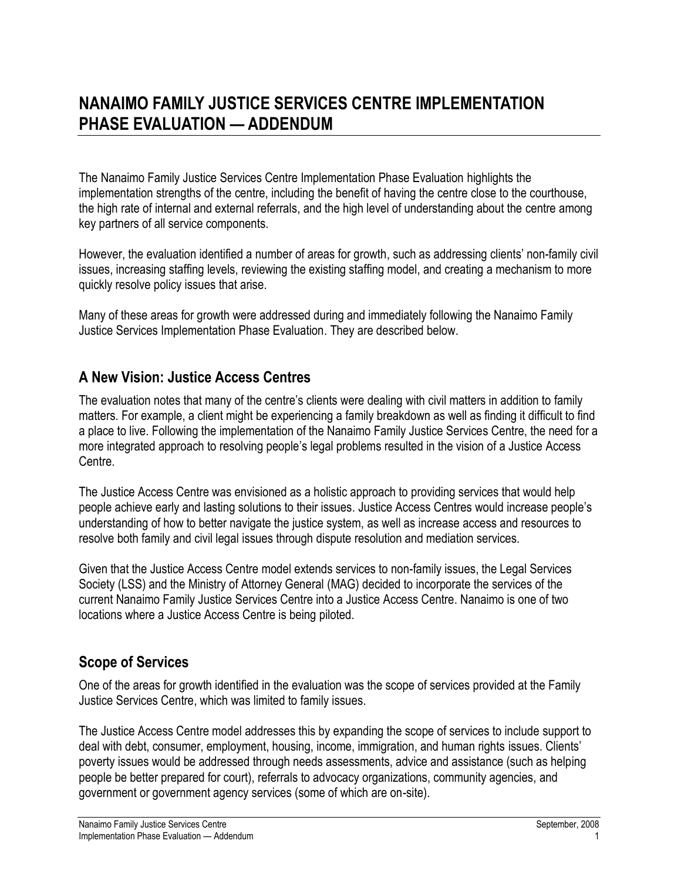The Nanaimo Family Justice Services Centre Implementation Phase Evaluation highlights the implementation strengths of the centre, including the benefit of having the centre close to the courthouse, the high rate of internal and external referrals, and the high level of understanding about the centre among key partners of all service components.

However, the evaluation identified a number of areas for growth, such as addressing clients' non-family civil issues, increasing staffing levels, reviewing the existing staffing model, and creating a mechanism to more quickly resolve policy issues that arise.

Many of these areas for growth were addressed during and immediately following the Nanaimo Family Justice Services Implementation Phase Evaluation. They are described below.

## **A New Vision: Justice Access Centres**

The evaluation notes that many of the centre's clients were dealing with civil matters in addition to family matters. For example, a client might be experiencing a family breakdown as well as finding it difficult to find a place to live. Following the implementation of the Nanaimo Family Justice Services Centre, the need for a more integrated approach to resolving people's legal problems resulted in the vision of a Justice Access Centre.

The Justice Access Centre was envisioned as a holistic approach to providing services that would help people achieve early and lasting solutions to their issues. Justice Access Centres would increase people's understanding of how to better navigate the justice system, as well as increase access and resources to resolve both family and civil legal issues through dispute resolution and mediation services.

Given that the Justice Access Centre model extends services to non-family issues, the Legal Services Society (LSS) and the Ministry of Attorney General (MAG) decided to incorporate the services of the current Nanaimo Family Justice Services Centre into a Justice Access Centre. Nanaimo is one of two locations where a Justice Access Centre is being piloted.

## **Scope of Services**

One of the areas for growth identified in the evaluation was the scope of services provided at the Family Justice Services Centre, which was limited to family issues.

The Justice Access Centre model addresses this by expanding the scope of services to include support to deal with debt, consumer, employment, housing, income, immigration, and human rights issues. Clients' poverty issues would be addressed through needs assessments, advice and assistance (such as helping people be better prepared for court), referrals to advocacy organizations, community agencies, and government or government agency services (some of which are on-site).